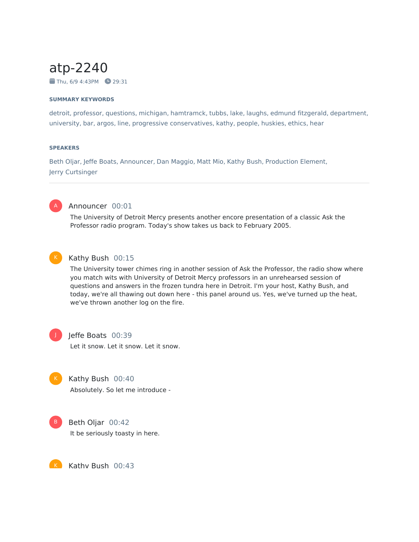# atp-2240

 $\blacksquare$  Thu, 6/9 4:43PM  $\blacksquare$  29:31

#### **SUMMARY KEYWORDS**

detroit, professor, questions, michigan, hamtramck, tubbs, lake, laughs, edmund fitzgerald, department, university, bar, argos, line, progressive conservatives, kathy, people, huskies, ethics, hear

#### **SPEAKERS**

Beth Oljar, Jeffe Boats, Announcer, Dan Maggio, Matt Mio, Kathy Bush, Production Element, Jerry Curtsinger



#### Announcer 00:01

The University of Detroit Mercy presents another encore presentation of a classic Ask the Professor radio program. Today's show takes us back to February 2005.



#### Kathy Bush 00:15

The University tower chimes ring in another session of Ask the Professor, the radio show where you match wits with University of Detroit Mercy professors in an unrehearsed session of questions and answers in the frozen tundra here in Detroit. I'm your host, Kathy Bush, and today, we're all thawing out down here - this panel around us. Yes, we've turned up the heat, we've thrown another log on the fire.



#### Jeffe Boats 00:39

Let it snow. Let it snow. Let it snow.



#### Kathy Bush 00:40

Absolutely. So let me introduce -



K

#### Beth Oljar 00:42

It be seriously toasty in here.

Kathy Bush 00:43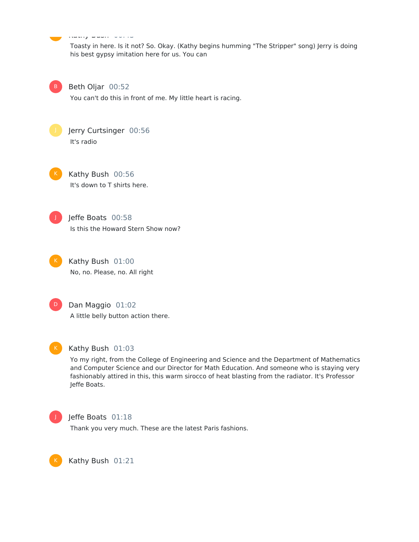Toasty in here. Is it not? So. Okay. (Kathy begins humming "The Stripper" song) Jerry is doing his best gypsy imitation here for us. You can



K

Beth Oljar 00:52

Kathy Bush 00:43

You can't do this in front of me. My little heart is racing.



Jerry Curtsinger 00:56 It's radio



Kathy Bush 00:56 It's down to T shirts here.



Jeffe Boats 00:58 Is this the Howard Stern Show now?

Kathy Bush 01:00 No, no. Please, no. All right



Dan Maggio 01:02 A little belly button action there.



#### Kathy Bush 01:03

Yo my right, from the College of Engineering and Science and the Department of Mathematics and Computer Science and our Director for Math Education. And someone who is staying very fashionably attired in this, this warm sirocco of heat blasting from the radiator. It's Professor Jeffe Boats.



K

#### Jeffe Boats 01:18

Thank you very much. These are the latest Paris fashions.

Kathy Bush 01:21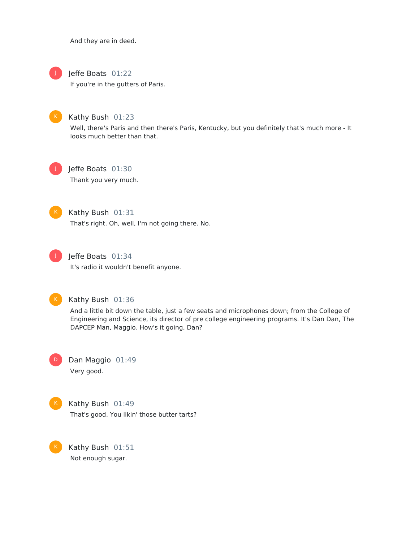And they are in deed.



# Jeffe Boats 01:22

If you're in the gutters of Paris.



# Kathy Bush 01:23

Well, there's Paris and then there's Paris, Kentucky, but you definitely that's much more - It looks much better than that.



# Jeffe Boats 01:30

Thank you very much.



### Kathy Bush 01:31

That's right. Oh, well, I'm not going there. No.



# Jeffe Boats 01:34

It's radio it wouldn't benefit anyone.



#### Kathy Bush 01:36

And a little bit down the table, just a few seats and microphones down; from the College of Engineering and Science, its director of pre college engineering programs. It's Dan Dan, The DAPCEP Man, Maggio. How's it going, Dan?



Dan Maggio 01:49 Very good.



K

Kathy Bush 01:49 That's good. You likin' those butter tarts?

Kathy Bush 01:51 Not enough sugar.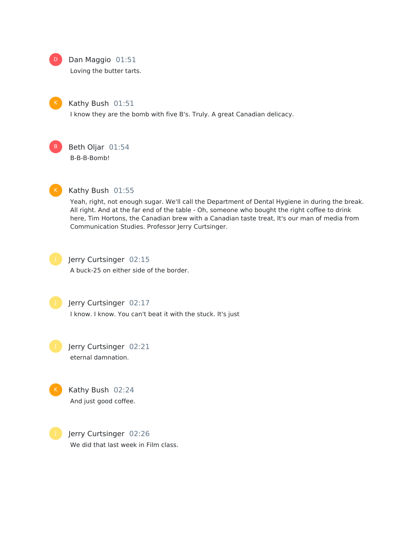

## Dan Maggio 01:51

Loving the butter tarts.



### Kathy Bush 01:51

I know they are the bomb with five B's. Truly. A great Canadian delicacy.

Beth Oljar 01:54 B-B-B-Bomb! B



#### Kathy Bush 01:55

Yeah, right, not enough sugar. We'll call the Department of Dental Hygiene in during the break. All right. And at the far end of the table - Oh, someone who bought the right coffee to drink here, Tim Hortons, the Canadian brew with a Canadian taste treat, It's our man of media from Communication Studies. Professor Jerry Curtsinger.



## Jerry Curtsinger 02:15

A buck-25 on either side of the border.



## Jerry Curtsinger 02:17

I know. I know. You can't beat it with the stuck. It's just

Jerry Curtsinger 02:21 eternal damnation.



# Jerry Curtsinger 02:26 We did that last week in Film class.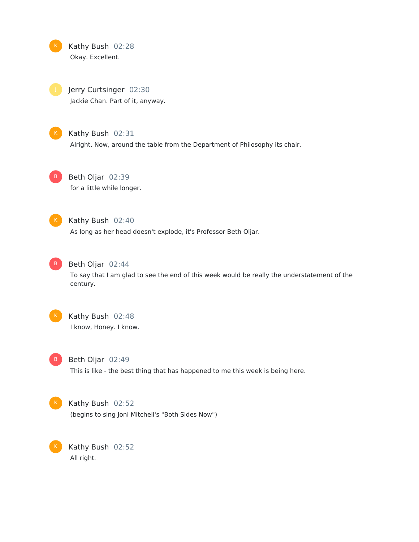Kathy Bush 02:28 Okay. Excellent.

Jerry Curtsinger 02:30 Jackie Chan. Part of it, anyway.

 $K$ 

# Kathy Bush 02:31

Alright. Now, around the table from the Department of Philosophy its chair.

B

Beth Oljar 02:39 for a little while longer.



# Kathy Bush 02:40

As long as her head doesn't explode, it's Professor Beth Oljar.



# B Beth Oljar 02:44

To say that I am glad to see the end of this week would be really the understatement of the century.



# Kathy Bush 02:48

I know, Honey. I know.



## Beth Oljar 02:49

This is like - the best thing that has happened to me this week is being here.



K

## Kathy Bush 02:52

(begins to sing Joni Mitchell's "Both Sides Now")

Kathy Bush 02:52 All right.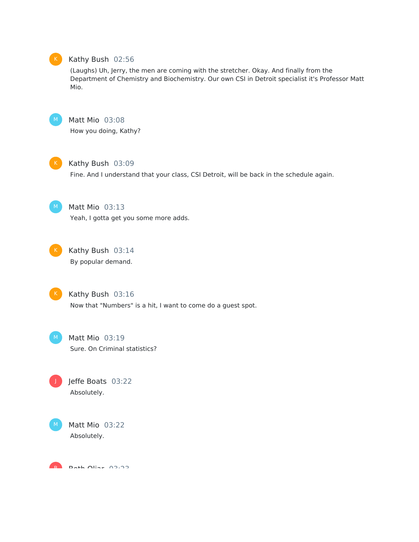

#### Kathy Bush 02:56

(Laughs) Uh, Jerry, the men are coming with the stretcher. Okay. And finally from the Department of Chemistry and Biochemistry. Our own CSI in Detroit specialist it's Professor Matt Mio.



Matt Mio 03:08 How you doing, Kathy?



Kathy Bush 03:09

Fine. And I understand that your class, CSI Detroit, will be back in the schedule again.



Matt Mio 03:13 Yeah, I gotta get you some more adds.



Kathy Bush 03:14 By popular demand.



Kathy Bush 03:16 Now that "Numbers" is a hit, I want to come do a guest spot.



J

Matt Mio 03:19 Sure. On Criminal statistics?





Matt Mio 03:22 Absolutely.

Beth Oliar 03:33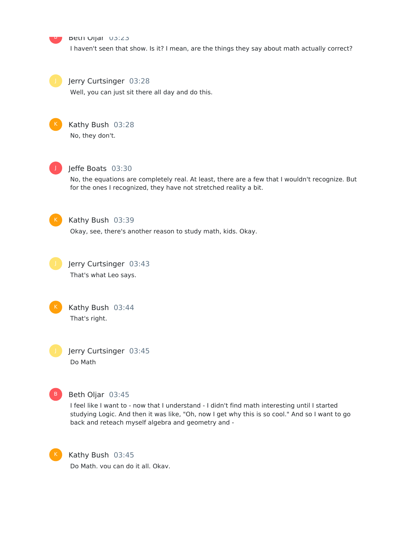

#### **Beth Oljar** U3:23

I haven't seen that show. Is it? I mean, are the things they say about math actually correct?

#### Jerry Curtsinger 03:28

Well, you can just sit there all day and do this.



### Kathy Bush 03:28

No, they don't.



#### Jeffe Boats 03:30

No, the equations are completely real. At least, there are a few that I wouldn't recognize. But for the ones I recognized, they have not stretched reality a bit.



#### Kathy Bush 03:39

Okay, see, there's another reason to study math, kids. Okay.



Jerry Curtsinger 03:43 That's what Leo says.



Kathy Bush 03:44 That's right.

Jerry Curtsinger 03:45 Do Math



#### Beth Oljar 03:45

I feel like I want to - now that I understand - I didn't find math interesting until I started studying Logic. And then it was like, "Oh, now Iget why this is so cool." And so I want to go back and reteach myself algebra and geometry and -



Kathy Bush 03:45 Do Math, you can do it all. Okay.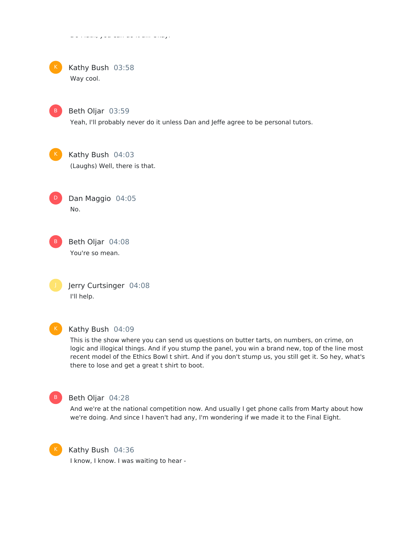| v<br>٩<br>۰.<br>. . |  |
|---------------------|--|

Kathy Bush 03:58 Way cool.



Beth Oljar 03:59

Do Math, you can do it all. Okay.

Yeah, I'll probably never do it unless Dan and Jeffe agree to be personal tutors.



Kathy Bush 04:03 (Laughs) Well, there is that.



Beth Oljar 04:08 You're so mean.

Jerry Curtsinger 04:08

I'll help.



#### Kathy Bush 04:09

This is the show where you can send us questions on butter tarts, on numbers, on crime, on logic and illogical things. And if you stump the panel, you win a brand new, top of the line most recent model of the Ethics Bowl t shirt. And if you don't stump us, you still get it. So hey, what's there to lose and get a great t shirt to boot.



#### Beth Oljar 04:28

And we're at the national competition now. And usually I get phone calls from Marty about how we're doing. And since I haven't had any, I'm wondering if we made it to the Final Eight.



Kathy Bush 04:36

I know, I know. I was waiting to hear -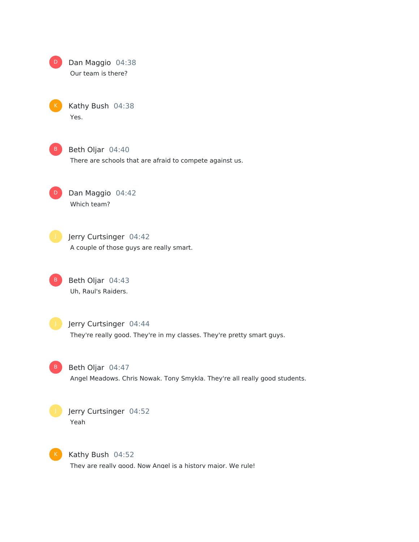

Dan Maggio 04:38 Our team is there?

Kathy Bush 04:38 Yes.



B Beth Oljar 04:40

There are schools that are afraid to compete against us.

D Dan Maggio 04:42 Which team?

Jerry Curtsinger 04:42 A couple of those guys are really smart.

B Beth Oljar 04:43 Uh, Raul's Raiders.

Jerry Curtsinger 04:44 They're really good. They're in my classes. They're pretty smart guys.

B Beth Oljar 04:47

Angel Meadows. Chris Nowak. Tony Smykla. They're all really good students.



Jerry Curtsinger 04:52



K Kathy Bush 04:52

They are really good. Now Angel is a history major. We rule!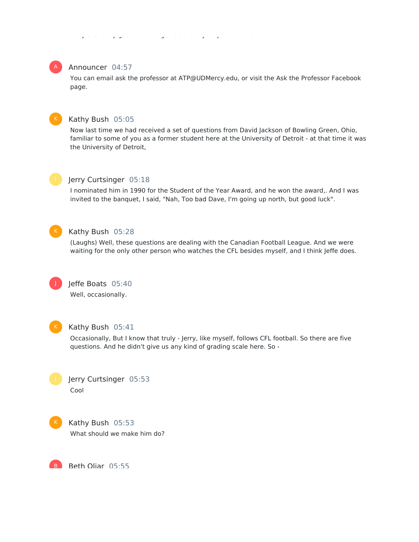They are really good. Now Angel is a history major. We rule!

# A

### Announcer 04:57

You can email ask the professor at ATP@UDMercy.edu, or visit the Ask the Professor Facebook page.



#### Kathy Bush 05:05

Now last time we had received a set of questions from David Jackson of Bowling Green, Ohio, familiar to some of you as a former student here at the University of Detroit - at that time it was the University of Detroit,



#### Jerry Curtsinger 05:18

I nominated him in 1990 for the Student of the Year Award, and he won the award,. And I was invited to the banquet, I said, "Nah, Too bad Dave, I'm going up north, but good luck".



#### Kathy Bush 05:28

(Laughs) Well, these questions are dealing with the Canadian Football League. And we were waiting for the only other person who watches the CFL besides myself, and I think Jeffe does.



### Jeffe Boats 05:40 Well, occasionally.



#### Kathy Bush 05:41

Occasionally, But I know that truly - Jerry, like myself, follows CFL football. So there are five questions. And he didn't give us any kind of grading scale here. So -





Kathy Bush 05:53 What should we make him do?

 $\overline{\mathsf{B}}$  - Reth Oliar 05:55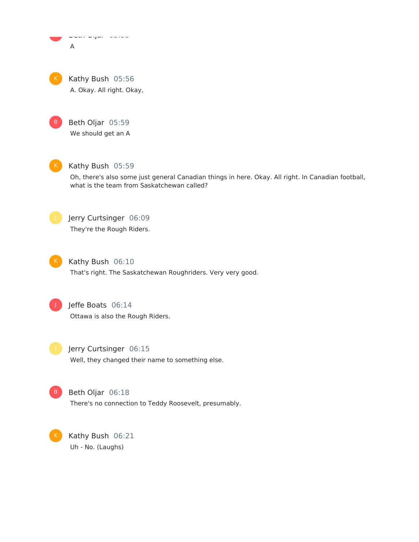





## Kathy Bush 05:59

Oh, there's also some just general Canadian things in here. Okay. All right. In Canadian football, what is the team from Saskatchewan called?



Jerry Curtsinger 06:09 They're the Rough Riders.



# Kathy Bush 06:10

That's right. The Saskatchewan Roughriders. Very very good.



# Jeffe Boats 06:14

Ottawa is also the Rough Riders.



# Jerry Curtsinger 06:15

Well, they changed their name to something else.



# Beth Oljar 06:18

There's no connection to Teddy Roosevelt, presumably.

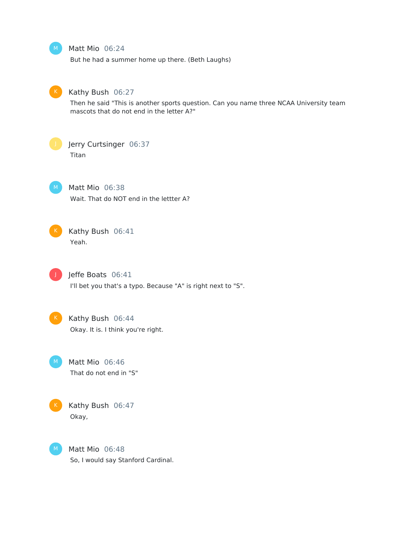Matt Mio 06:24

But he had a summer home up there. (Beth Laughs)



#### Kathy Bush 06:27

Then he said "This is another sports question. Can you name three NCAA University team mascots that do not end in the letter A?"



# Jerry Curtsinger 06:37 Titan

Matt Mio 06:38 Wait. That do NOT end in the lettter A?



# Kathy Bush 06:41 Yeah.

Jeffe Boats 06:41 I'll bet you that's a typo. Because "A" is right next to "S".



# Kathy Bush 06:44

Okay. It is. I think you're right.

Matt Mio 06:46 That do not end in "S"



# Kathy Bush 06:47 Okay,



Matt Mio 06:48 So, I would say Stanford Cardinal.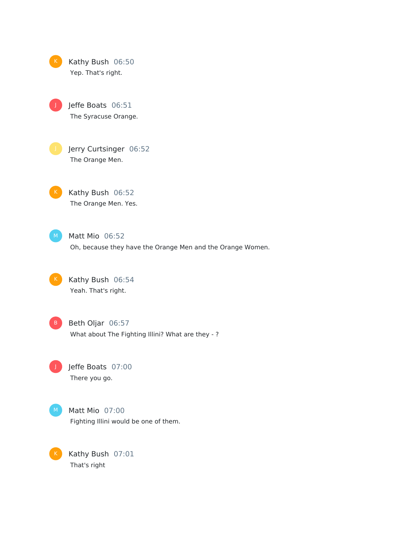| Kathy Bush 06:50   |  |
|--------------------|--|
| Yep. That's right. |  |

Jeffe Boats 06:51 The Syracuse Orange. J

Jerry Curtsinger 06:52 The Orange Men.

Kathy Bush 06:52 The Orange Men. Yes.  $K$ 

 $M$ )

Matt Mio 06:52

Oh, because they have the Orange Men and the Orange Women.

K Kathy Bush 06:54 Yeah. That's right.

B Beth Oljar 06:57 What about The Fighting Illini? What are they - ?

Jeffe Boats 07:00 There you go.

 $\vert$  M  $\rangle$ 

K

J

Matt Mio 07:00 Fighting Illini would be one of them.

Kathy Bush 07:01 That's right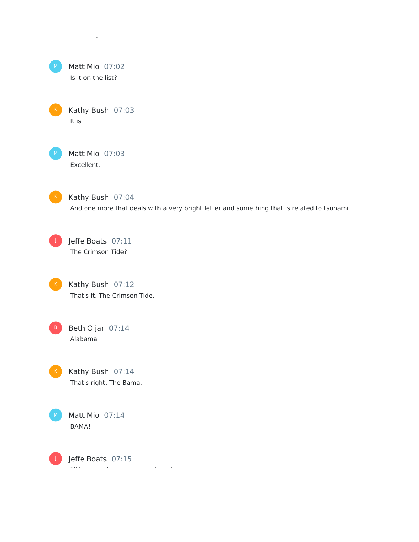

That's right

Kathy Bush 07:03 It is

Matt Mio 07:03 Excellent.



K Kathy Bush 07:04 And one more that deals with a very bright letter and something that is related to tsunami

**J** Jeffe Boats 07:11 The Crimson Tide?

K Kathy Bush 07:12 That's it. The Crimson Tide.

B Beth Oljar 07:14 Alabama

K Kathy Bush 07:14 That's right. The Bama.

Matt Mio 07:14 BAMA!  $M$ 

Jeffe Boats 07:15 If there are more than the more than that that  $\mathcal{L}_\mathcal{D}$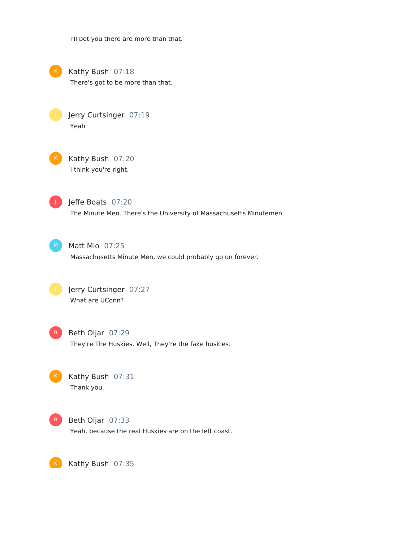I'll bet you there are more than that.



Kathy Bush 07:18 There's got to be more than that.

Jerry Curtsinger 07:19 Yeah



Kathy Bush 07:20 I think you're right.



Jeffe Boats 07:20 The Minute Men. There's the University of Massachusetts Minutemen



## Matt Mio 07:25

Massachusetts Minute Men, we could probably go on forever.





Beth Oljar 07:29

They're The Huskies. Well, They're the fake huskies.

Kathy Bush 07:31 Thank you.



K

Beth Oljar 07:33 Yeah, because the real Huskies are on the left coast.

Kathy Bush 07:35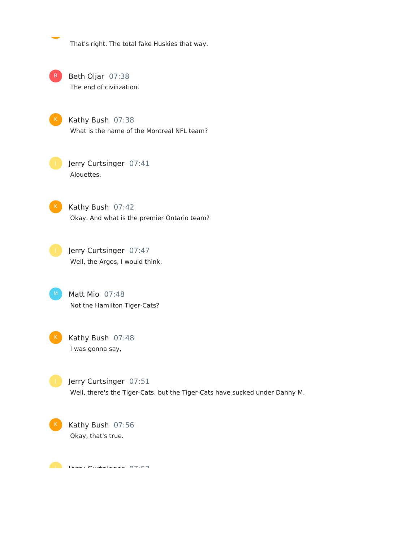That's right. The total fake Huskies that way.

Beth Oljar 07:38 The end of civilization. B

> Kathy Bush 07:38 What is the name of the Montreal NFL team?

Jerry Curtsinger 07:41 Alouettes.

K Kathy Bush 07:42 Okay. And what is the premier Ontario team?

Jerry Curtsinger 07:47 Well, the Argos, I would think.

 $M$ 

Matt Mio 07:48 Not the Hamilton Tiger-Cats?



Kathy Bush 07:48 I was gonna say,

Jerry Curtsinger 07:51 Well, there's the Tiger-Cats, but the Tiger-Cats have sucked under Danny M.



Kathy Bush 07:56 Okay, that's true.

Derry Curtsinaar 07.57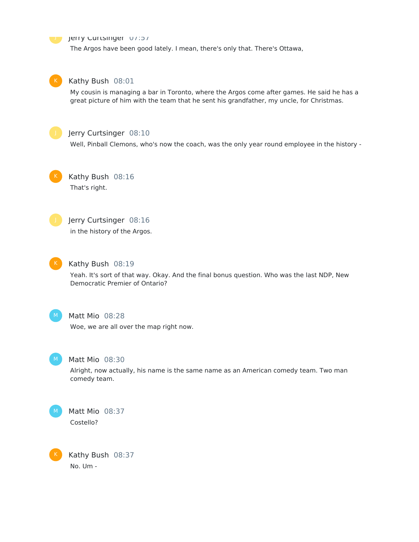#### Jerry Curtsinger U7:57

The Argos have been good lately. I mean, there's only that. There's Ottawa,



#### Kathy Bush 08:01

My cousin is managing a bar in Toronto, where the Argos come after games. He said he has a great picture of him with the team that he sent his grandfather, my uncle, for Christmas.



### Jerry Curtsinger 08:10

Well, Pinball Clemons, who's now the coach, was the only year round employee in the history -

Kathy Bush 08:16 That's right.



# Jerry Curtsinger 08:16

in the history of the Argos.



#### Kathy Bush 08:19

Yeah. It's sort of that way. Okay. And the final bonus question. Who was the last NDP, New Democratic Premier of Ontario?



#### Matt Mio 08:28

Woe, we are all over the map right now.



K

#### Matt Mio 08:30

Alright, now actually, his name is the same name as an American comedy team. Two man comedy team.



Kathy Bush 08:37 No. Um -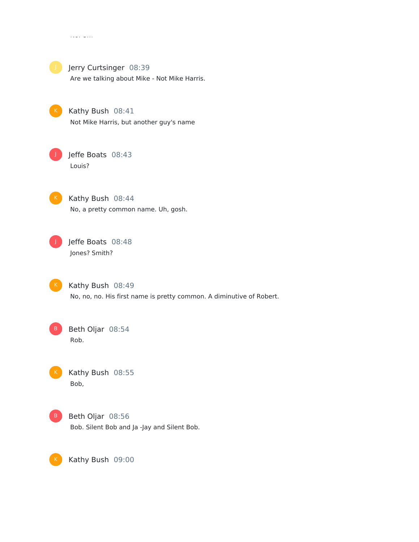

Kathy Bush 09:00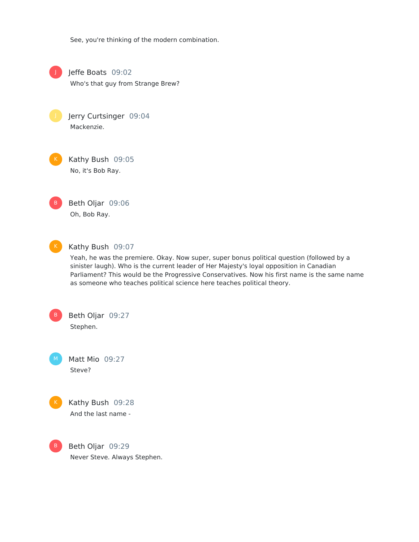See, you're thinking of the modern combination.



Jeffe Boats 09:02

Who's that guy from Strange Brew?

Jerry Curtsinger 09:04 Mackenzie.

Kathy Bush 09:05 No, it's Bob Ray.



Beth Oljar 09:06 Oh, Bob Ray.



#### Kathy Bush 09:07

Yeah, he was the premiere. Okay. Now super, super bonus political question (followed by a sinister laugh). Who is the current leader of Her Majesty's loyal opposition in Canadian Parliament? This would be the Progressive Conservatives. Now his first name is the same name as someone who teaches political science here teaches political theory.



Matt Mio 09:27 Steve?



B

Kathy Bush 09:28 And the last name -

Beth Oljar 09:29 Never Steve. Always Stephen.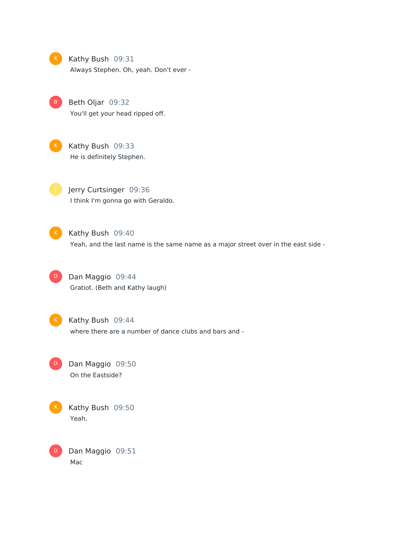Kathy Bush 09:31 Always Stephen. Oh, yeah. Don't ever -

Beth Oljar 09:32 You'll get your head ripped off.



Kathy Bush 09:33 He is definitely Stephen.

Jerry Curtsinger 09:36 I think I'm gonna go with Geraldo.

Kathy Bush 09:40 Yeah, and the last name is the same name as a major street over in the east side -

D

Dan Maggio 09:44 Gratiot. (Beth and Kathy laugh)

#### Kathy Bush 09:44

where there are a number of dance clubs and bars and -

Dan Maggio 09:50 On the Eastside? D



D

Kathy Bush 09:50 Yeah,

Dan Maggio 09:51 Mac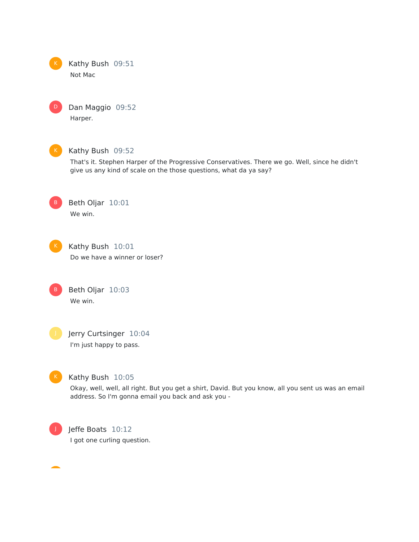Kathy Bush 09:51 Not Mac

Dan Maggio 09:52 Harper.



D

### Kathy Bush 09:52

That's it. Stephen Harper of the Progressive Conservatives. There we go. Well, since he didn't give us any kind of scale on the those questions, what da ya say?

B

Beth Oljar 10:01 We win.



Kathy Bush 10:01 Do we have a winner or loser?

Beth Oljar 10:03 We win. B



Jerry Curtsinger 10:04 I'm just happy to pass.



# Kathy Bush 10:05

Okay, well, well, all right. But you get a shirt, David. But you know, all you sent us was an email address. So I'm gonna email you back and ask you -



# Jeffe Boats 10:12 I got one curling question.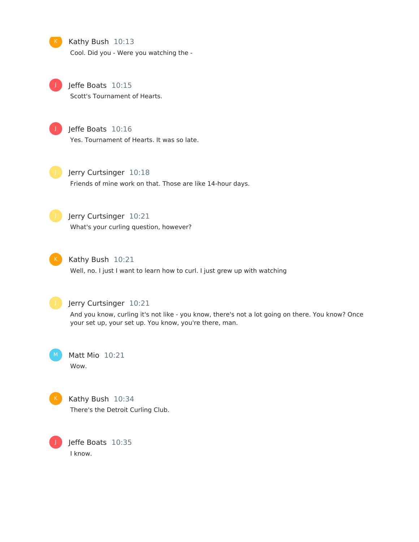Kathy Bush 10:13 Cool. Did you - Were you watching the -



Jeffe Boats 10:15 Scott's Tournament of Hearts.



Jeffe Boats 10:16

Yes. Tournament of Hearts. It was so late.



Jerry Curtsinger 10:18 Friends of mine work on that. Those are like 14-hour days.



Jerry Curtsinger 10:21 What's your curling question, however?



Kathy Bush 10:21

Well, no. I just I want to learn how to curl. I just grew up with watching



Jerry Curtsinger 10:21

And you know, curling it's not like - you know, there's not a lot going on there. You know? Once your set up, your set up. You know, you're there, man.

Matt Mio 10:21 Wow.



Kathy Bush 10:34 There's the Detroit Curling Club.

Jeffe Boats 10:35 I know.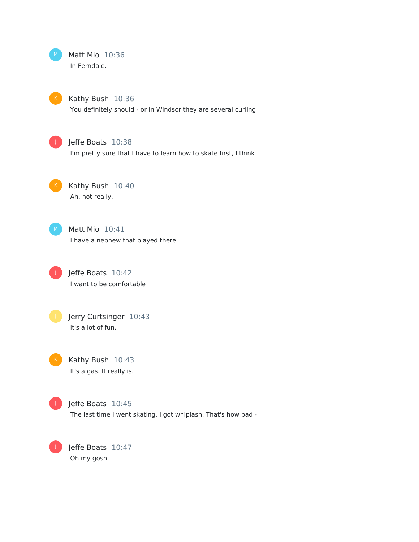

#### Kathy Bush 10:36

You definitely should - or in Windsor they are several curling

# Jeffe Boats 10:38

I'm pretty sure that I have to learn how to skate first, I think

Kathy Bush 10:40 Ah, not really.

J

Matt Mio 10:41 I have a nephew that played there.

Jeffe Boats 10:42 I want to be comfortable

Jerry Curtsinger 10:43 It's a lot of fun.

Kathy Bush 10:43 It's a gas. It really is.

J

Jeffe Boats 10:45 The last time I went skating. I got whiplash. That's how bad -

Jeffe Boats 10:47 Oh my gosh.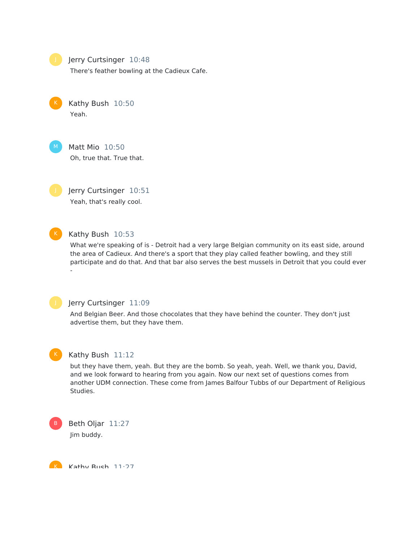Jerry Curtsinger 10:48

There's feather bowling at the Cadieux Cafe.

Kathy Bush 10:50 Yeah.

 $M_{\odot}$ 

Matt Mio 10:50 Oh, true that. True that.

Jerry Curtsinger 10:51 Yeah, that's really cool.

#### Kathy Bush 10:53

What we're speaking of is - Detroit had a very large Belgian community on its east side, around the area of Cadieux. And there's a sport that they play called feather bowling, and they still participate and do that. And that bar also serves the best mussels in Detroit that you could ever -



### Jerry Curtsinger 11:09

And Belgian Beer. And those chocolates that they have behind the counter. They don't just advertise them, but they have them.



#### Kathy Bush 11:12

but they have them, yeah. But they are the bomb. So yeah, yeah. Well, we thank you, David, and we look forward to hearing from you again. Now our next set of questions comes from another UDM connection. These come from James Balfour Tubbs of our Department of Religious Studies.



Beth Oljar 11:27 Jim buddy.

K Kathy Ruch 11.27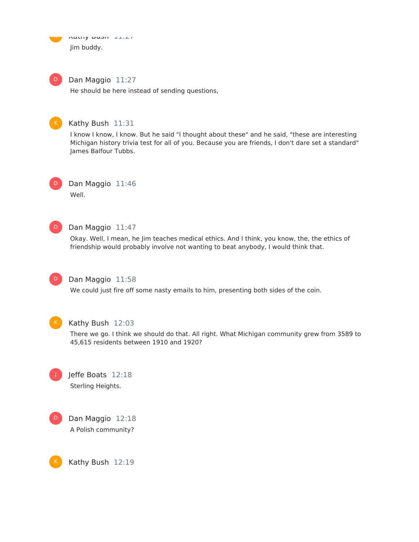Kathy Dubli 11:27 Jim buddy.  $\mathbf{K}$ 



Dan Maggio 11:27

He should be here instead of sending questions,



#### Kathy Bush 11:31

I know I know, I know. But he said "I thought about these" and he said, "these are interesting Michigan history trivia test for all of you. Because you are friends, I don't dare set a standard" James Balfour Tubbs.



Dan Maggio 11:46 Well.

 $\vert$ D $\vert$ 

#### Dan Maggio 11:47

Okay. Well, I mean, he Jim teaches medical ethics. And I think, you know, the, the ethics of friendship would probably involve not wanting to beat anybody, I would think that.



#### D Dan Maggio 11:58

We could just fire off some nasty emails to him, presenting both sides of the coin.



J

K

#### Kathy Bush 12:03

There we go. I think we should do that. All right. What Michigan community grew from 3589 to 45,615 residents between 1910 and 1920?

Jeffe Boats 12:18 Sterling Heights.



Kathy Bush 12:19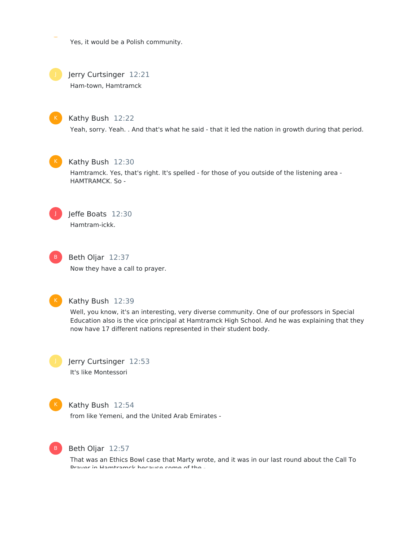Yes, it would be a Polish community.

Jerry Curtsinger 12:21 Ham-town, Hamtramck

#### Kathy Bush 12:22

Yeah, sorry. Yeah. . And that's what he said - that it led the nation in growth during that period.



### Kathy Bush 12:30

Hamtramck. Yes, that's right. It's spelled - for those of you outside of the listening area - HAMTRAMCK. So -



Jeffe Boats 12:30 Hamtram-ickk.



Beth Oljar 12:37 Now they have a call to prayer.



#### Kathy Bush 12:39

Well, you know, it's an interesting, very diverse community. One of our professors in Special Education also is the vice principal at Hamtramck High School. And he was explaining that they now have 17 different nations represented in their student body.



Jerry Curtsinger 12:53 It's like Montessori



### Kathy Bush 12:54

from like Yemeni, and the United Arab Emirates -



# Beth Oljar 12:57

That was an Ethics Bowl case that Marty wrote, and it was in our last round about the Call To Prayer in Hamtramck because some of the -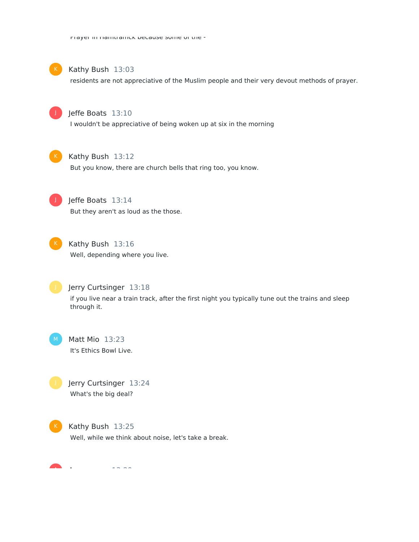

Kathy Bush 13:03

residents are not appreciative of the Muslim people and their very devout methods of prayer.



## Jeffe Boats 13:10

I wouldn't be appreciative of being woken up at six in the morning



### Kathy Bush 13:12

But you know, there are church bells that ring too, you know.



Jeffe Boats 13:14 But they aren't as loud as the those.



#### Kathy Bush 13:16

Well, depending where you live.



### Jerry Curtsinger 13:18

if you live near a train track, after the first night you typically tune out the trains and sleep through it.



# Matt Mio 13:23 It's Ethics Bowl Live.

# Jerry Curtsinger 13:24 What's the big deal?



Kathy Bush 13:25 Well, while we think about noise, let's take a break.

Announcer 13:29 A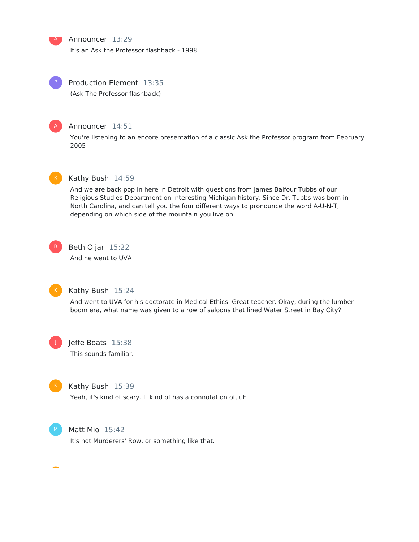A

#### Announcer 13:29

It's an Ask the Professor flashback - 1998



Production Element 13:35 (Ask The Professor flashback)



#### Announcer 14:51

You're listening to an encore presentation of a classic Ask the Professor program from February 2005



#### Kathy Bush 14:59

And we are back pop in here in Detroit with questions from James Balfour Tubbs of our Religious Studies Department on interesting Michigan history. Since Dr. Tubbs was born in North Carolina, and can tell you the four different ways to pronounce the word A-U-N-T, depending on which side of the mountain you live on.

B

# Beth Oljar 15:22

And he went to UVA



# Kathy Bush 15:24

And went to UVA for his doctorate in Medical Ethics. Great teacher. Okay, during the lumber boom era, what name was given to a row of saloons that lined Water Street in Bay City?



# Jeffe Boats 15:38 This sounds familiar.



#### Kathy Bush 15:39

Yeah, it's kind of scary. It kind of has a connotation of, uh



#### Matt Mio 15:42

It's not Murderers' Row, or something like that.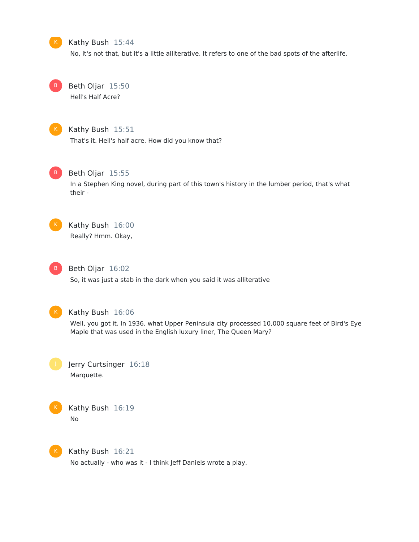#### Kathy Bush 15:44

No, it's not that, but it's a little alliterative. It refers to one of the bad spots of the afterlife.

Beth Oljar 15:50 Hell's Half Acre?



B

## Kathy Bush 15:51

That's it. Hell's half acre. How did you know that?



## Beth Oljar 15:55

In a Stephen King novel, during part of this town's history in the lumber period, that's what their -



# Kathy Bush 16:00

Really? Hmm. Okay,



### Beth Oljar 16:02

So, it was just a stab in the dark when you said it was alliterative



## Kathy Bush 16:06

Well, you got it. In 1936, what Upper Peninsula city processed 10,000 square feet of Bird's Eye Maple that was used in the English luxury liner, The Queen Mary?

Jerry Curtsinger 16:18 Marquette.



Kathy Bush 16:19 No



Kathy Bush 16:21

No actually - who was it - I think Jeff Daniels wrote a play.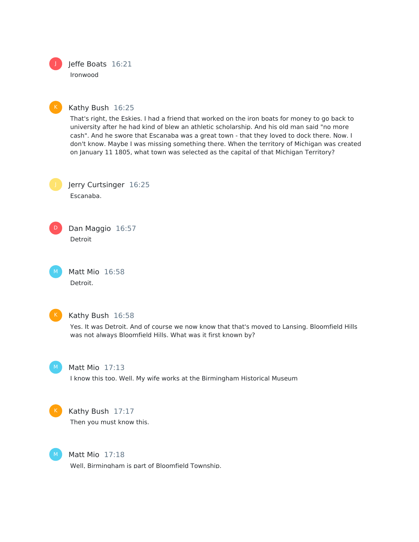



### Kathy Bush 16:25

That's right, the Eskies. I had a friend that worked on the iron boats for money to go back to university after he had kind of blew an athletic scholarship. And his old man said "no more cash". And he swore that Escanaba was a great town - that they loved to dock there. Now. I don't know. Maybe I was missing something there. When the territory of Michigan was created on January 11 1805, what town was selected as the capital of that Michigan Territory?



Jerry Curtsinger 16:25 Escanaba.



Dan Maggio 16:57 Detroit

Matt Mio 16:58 Detroit.



#### Kathy Bush 16:58

Yes. It was Detroit. And of course we now know that that's moved to Lansing. Bloomfield Hills was not always Bloomfield Hills. What was it first known by?



#### Matt Mio 17:13

I know this too. Well. My wife works at the Birmingham Historical Museum



# Kathy Bush 17:17

Then you must know this.



# Matt Mio 17:18

Well, Birmingham is part of Bloomfield Township.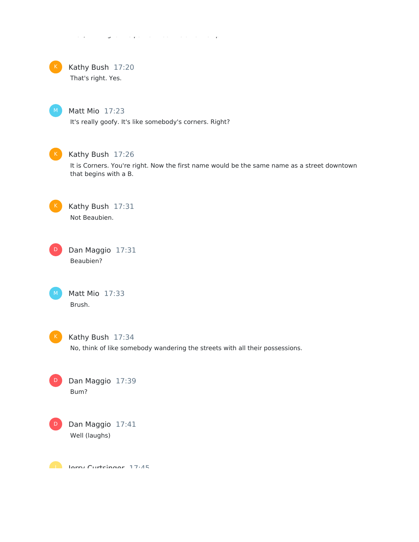Well, Birmingham is part of Bloomfield Township.



Kathy Bush 17:20

That's right. Yes.



### Matt Mio 17:23

It's really goofy. It's like somebody's corners. Right?



# Kathy Bush 17:26

It is Corners. You're right. Now the first name would be the same name as a street downtown that begins with a B.

Kathy Bush 17:31 Not Beaubien.

Dan Maggio 17:31 Beaubien? D

> Matt Mio 17:33 Brush.



### K Kathy Bush 17:34

No, think of like somebody wandering the streets with all their possessions.

Dan Maggio 17:39 Bum?  $\Box$ 



Dan Maggio 17:41 Well (laughs)

**De Jarry Curtsinger 17:45**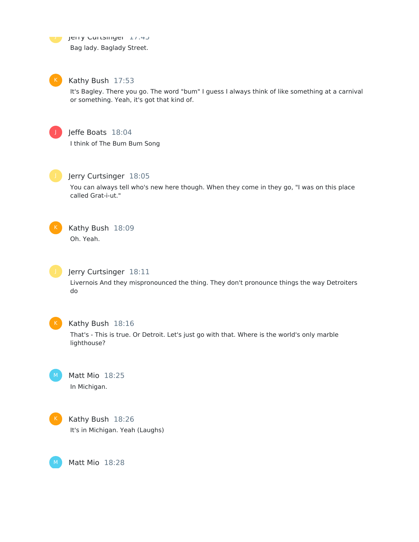Jerry Curtsinger 17:45 J Bag lady. Baglady Street.

# Kathy Bush 17:53

It's Bagley. There you go. The word "bum" I guess I always think of like something at a carnival or something. Yeah, it's got that kind of.



### Jeffe Boats 18:04

I think of The Bum Bum Song



### Jerry Curtsinger 18:05

You can always tell who's new here though. When they come in they go, "I was on this place called Grat-i-ut."



# Kathy Bush 18:09

Oh. Yeah.



## Jerry Curtsinger 18:11

Livernois And they mispronounced the thing. They don't pronounce things the way Detroiters do



## Kathy Bush 18:16

That's - This is true. Or Detroit. Let's just go with that. Where is the world's only marble lighthouse?



# Matt Mio 18:25 In Michigan.



Kathy Bush 18:26 It's in Michigan. Yeah (Laughs)

Matt Mio 18:28 M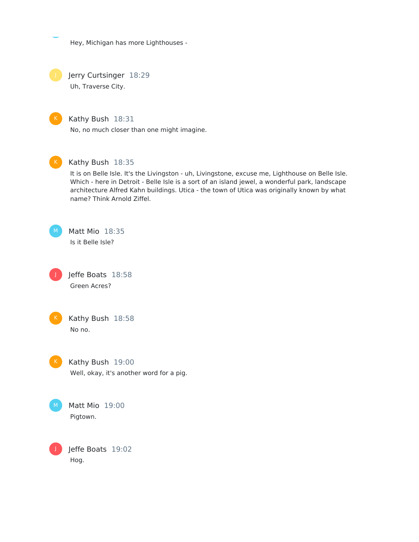Hey, Michigan has more Lighthouses -

Jerry Curtsinger 18:29 Uh, Traverse City.

#### Kathy Bush 18:31

No, no much closer than one might imagine.



#### Kathy Bush 18:35

It is on Belle Isle. It's the Livingston - uh, Livingstone, excuse me, Lighthouse on Belle Isle. Which - here in Detroit - Belle Isle is a sort of an island jewel, a wonderful park, landscape architecture Alfred Kahn buildings. Utica - the town of Utica was originally known by what name? Think Arnold Ziffel.

Matt Mio 18:35 Is it Belle Isle?

Jeffe Boats 18:58 Green Acres? J



Kathy Bush 18:58 No no.



Kathy Bush 19:00 Well, okay, it's another word for a pig.



Matt Mio 19:00 Pigtown.

Jeffe Boats 19:02 Hog.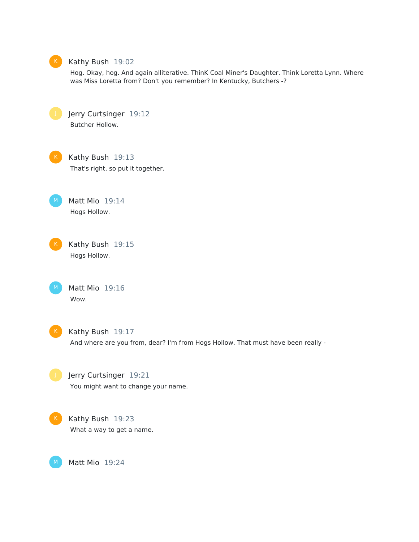

#### Kathy Bush 19:02

Hog. Okay, hog. And again alliterative. ThinK Coal Miner's Daughter. Think Loretta Lynn. Where was Miss Loretta from? Don't you remember? In Kentucky, Butchers -?

Jerry Curtsinger 19:12 Butcher Hollow.



Kathy Bush 19:13 That's right, so put it together.

Matt Mio 19:14 Hogs Hollow.

Kathy Bush 19:15 Hogs Hollow.

Matt Mio 19:16 Wow.



Kathy Bush 19:17 And where are you from, dear? I'm from Hogs Hollow. That must have been really -

Jerry Curtsinger 19:21 You might want to change your name.



Kathy Bush 19:23 What a way to get a name.

Matt Mio 19:24 M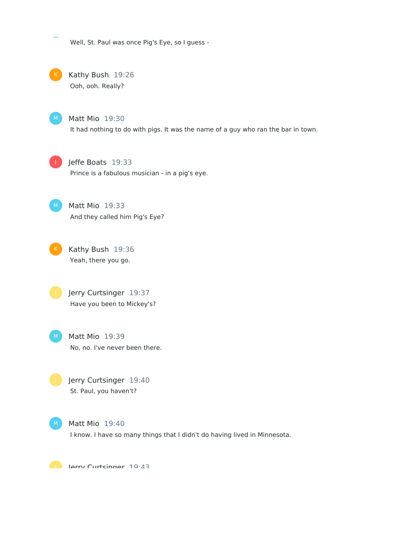Well, St. Paul was once Pig's Eye, so I guess -

Kathy Bush 19:26 Ooh, ooh. Really?

Matt Mio 19:30 It had nothing to do with pigs. It was the name of a guy who ran the bar in town.



Jeffe Boats 19:33

Prince is a fabulous musician - in a pig's eye.

 $M$ 

Matt Mio 19:33 And they called him Pig's Eye?



Jerry Curtsinger 19:37 Have you been to Mickey's?



Matt Mio 19:39 No, no. I've never been there.

Jerry Curtsinger 19:40 St. Paul, you haven't?



Matt Mio 19:40

I know. I have so many things that I didn't do having lived in Minnesota.

De Jarry Curteinnar 10<sup>.</sup>13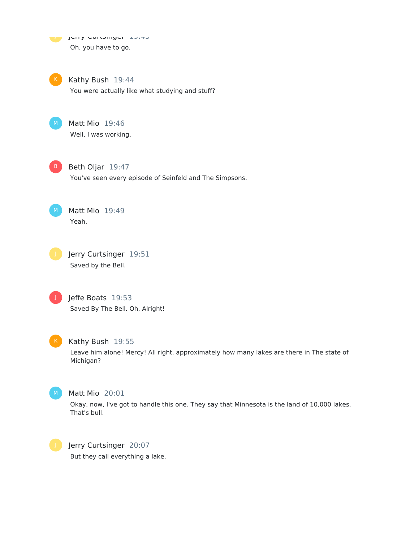Jerry Curtsinger 19:43 J Oh, you have to go.

Kathy Bush 19:44

You were actually like what studying and stuff?



Matt Mio 19:46 Well, I was working.



Beth Oljar 19:47

You've seen every episode of Seinfeld and The Simpsons.

Matt Mio 19:49 Yeah.

Jerry Curtsinger 19:51 Saved by the Bell.



Jeffe Boats 19:53 Saved By The Bell. Oh, Alright!



Kathy Bush 19:55

Leave him alone! Mercy! All right, approximately how many lakes are there in The state of Michigan?



Matt Mio 20:01

Okay, now, I've got to handle this one. They say that Minnesota is the land of 10,000 lakes. That's bull.



Jerry Curtsinger 20:07 But they call everything a lake.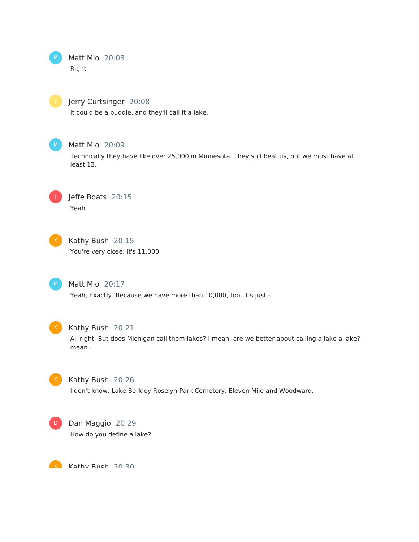



#### Jerry Curtsinger 20:08

It could be a puddle, and they'll call it a lake.



### Matt Mio 20:09

Technically they have like over 25,000 in Minnesota. They still beat us, but we must have at least 12.



Jeffe Boats 20:15 Yeah



# Kathy Bush 20:15

You're very close. It's 11,000



## Matt Mio 20:17

Yeah, Exactly. Because we have more than 10,000, too. It's just -



# Kathy Bush 20:21

All right. But does Michigan call them lakes? I mean, are we better about calling a lake a lake? I mean -



### Kathy Bush 20:26

I don't know. Lake Berkley Roselyn Park Cemetery, Eleven Mile and Woodward.



Dan Maggio 20:29 How do you define a lake?

K Kathy Ruch 20:30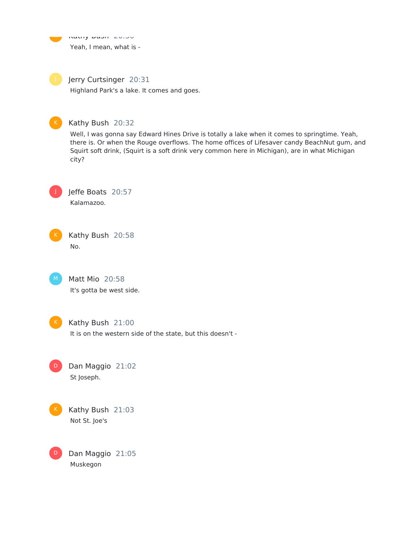$k$  Kathy Bush 20:30 Yeah, I mean, what is - K



Jerry Curtsinger 20:31

Highland Park's a lake. It comes and goes.



#### Kathy Bush 20:32

Well, I was gonna say Edward Hines Drive is totally a lake when it comes to springtime. Yeah, there is. Or when the Rouge overflows. The home offices of Lifesaver candy BeachNut gum, and Squirt soft drink, (Squirt is a soft drink very common here in Michigan), are in what Michigan city?



Jeffe Boats 20:57 Kalamazoo.



Matt Mio 20:58 It's gotta be west side.  $M$ )



#### Kathy Bush 21:00

It is on the western side of the state, but this doesn't -

Dan Maggio 21:02 St Joseph. D



Kathy Bush 21:03 Not St. Joe's

Dan Maggio 21:05 Muskegon  $D$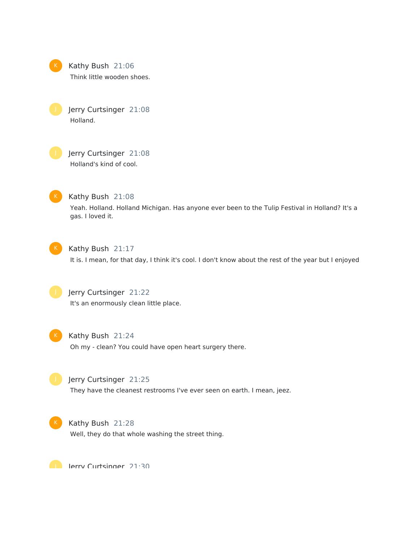

Kathy Bush 21:06 Think little wooden shoes.

Jerry Curtsinger 21:08 Holland.



Jerry Curtsinger 21:08 Holland's kind of cool.



## Kathy Bush 21:08

Yeah. Holland. Holland Michigan. Has anyone ever been to the Tulip Festival in Holland? It's a gas. I loved it.



#### Kathy Bush 21:17

It is. I mean, for that day, I think it's cool. I don't know about the rest of the year but I enjoyed



# Jerry Curtsinger 21:22 It's an enormously clean little place.



### Kathy Bush 21:24 Oh my - clean? You could have open heart surgery there.

## Jerry Curtsinger 21:25

They have the cleanest restrooms I've ever seen on earth. I mean, jeez.



#### Kathy Bush 21:28

Well, they do that whole washing the street thing.



Larry Curtsinger 21:30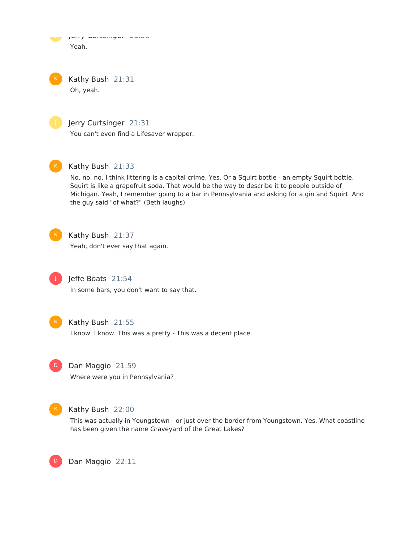Jerry Curtsinger 21:30 Yeah. J

Kathy Bush 21:31 Oh, yeah.



Jerry Curtsinger 21:31

You can't even find a Lifesaver wrapper.

# Kathy Bush 21:33

No, no, no, I think littering is a capital crime. Yes. Or a Squirt bottle - an empty Squirt bottle. Squirt is like a grapefruit soda. That would be the way to describe it to people outside of Michigan. Yeah, I remember going to a bar in Pennsylvania and asking for a gin and Squirt. And the guy said "of what?" (Beth laughs)



## Kathy Bush 21:37

Yeah, don't ever say that again.



# Jeffe Boats 21:54

In some bars, you don't want to say that.



## Kathy Bush 21:55

I know. I know. This was a pretty - This was a decent place.



# D Dan Maggio 21:59

Where were you in Pennsylvania?



D

# Kathy Bush 22:00

This was actually in Youngstown - or just over the border from Youngstown. Yes. What coastline has been given the name Graveyard of the Great Lakes?

Dan Maggio 22:11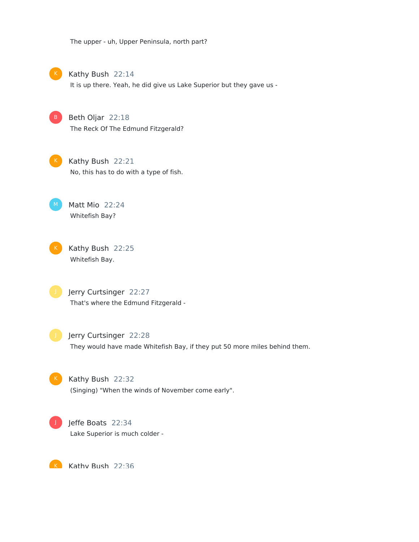The upper - uh, Upper Peninsula, north part?

Kathy Bush 22:14

It is up there. Yeah, he did give us Lake Superior but they gave us -

Beth Oljar 22:18 The Reck Of The Edmund Fitzgerald?

Kathy Bush 22:21 No, this has to do with a type of fish.

Matt Mio 22:24 Whitefish Bay?

Kathy Bush 22:25 Whitefish Bay.

> Jerry Curtsinger 22:27 That's where the Edmund Fitzgerald -

Jerry Curtsinger 22:28 They would have made Whitefish Bay, if they put 50 more miles behind them.



Kathy Bush 22:32

(Singing) "When the winds of November come early".



Jeffe Boats 22:34 Lake Superior is much colder -

K Kathy Rush 22:36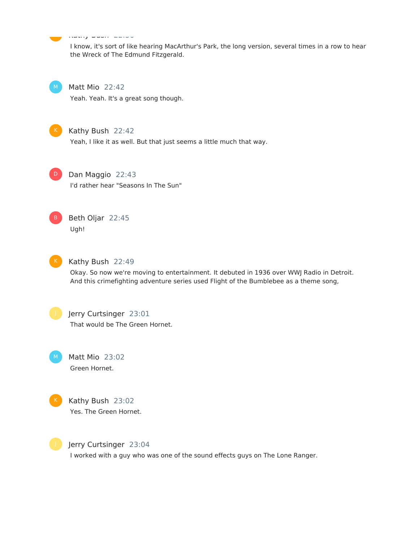Kathy Bush 22:36 <u>ka</u>

> I know, it's sort of like hearing MacArthur's Park, the long version, several times in a row to hear the Wreck of The Edmund Fitzgerald.

 $M_{\odot}$ 

Matt Mio 22:42

Yeah. Yeah. It's a great song though.



#### Kathy Bush 22:42

Yeah, I like it as well. But that just seems a little much that way.



Dan Maggio 22:43 I'd rather hear "Seasons In The Sun"



Beth Oljar 22:45 Ugh!



### Kathy Bush 22:49

Okay. So now we're moving to entertainment. It debuted in 1936 over WWJ Radio in Detroit. And this crimefighting adventure series used Flight of the Bumblebee as a theme song,



# Jerry Curtsinger 23:01 That would be The Green Hornet.

Matt Mio 23:02 Green Hornet.



Kathy Bush 23:02 Yes. The Green Hornet.



Jerry Curtsinger 23:04

I worked with a guy who was one of the sound effects guys on The Lone Ranger.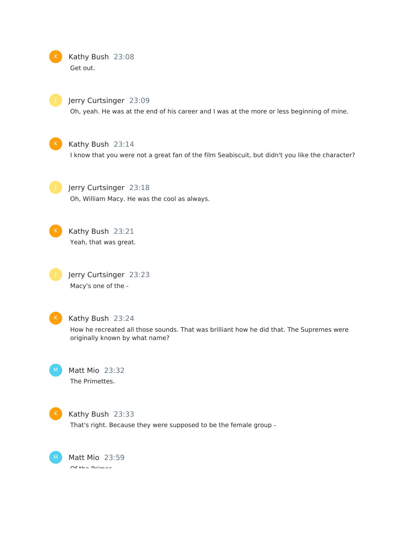



#### Jerry Curtsinger 23:09

Oh, yeah. He was at the end of his career and I was at the more or less beginning of mine.

### Kathy Bush 23:14

I know that you were not a great fan of the film Seabiscuit, but didn't you like the character?

Jerry Curtsinger 23:18 Oh, William Macy. He was the cool as always.

Kathy Bush 23:21 Yeah, that was great.

Jerry Curtsinger 23:23 Macy's one of the -



#### Kathy Bush 23:24

How he recreated all those sounds. That was brilliant how he did that. The Supremes were originally known by what name?

Matt Mio 23:32 The Primettes.



#### Kathy Bush 23:33

That's right. Because they were supposed to be the female group -

Matt Mio 23:59 Of the Primes.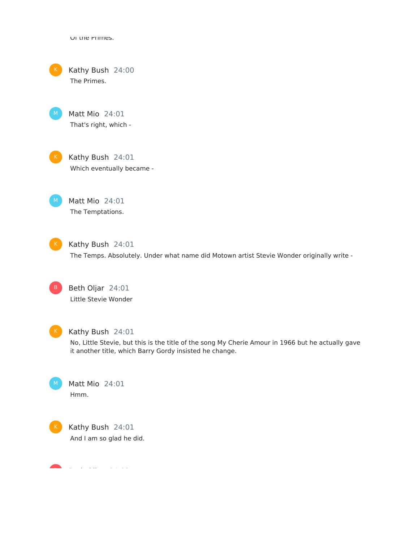Of the Primes.

Kathy Bush 24:00 The Primes.



Kathy Bush 24:01 Which eventually became -

Matt Mio 24:01 The Temptations.



Kathy Bush 24:01

The Temps. Absolutely. Under what name did Motown artist Stevie Wonder originally write -

B

Beth Oljar 24:01 Little Stevie Wonder



### Kathy Bush 24:01

No, Little Stevie, but this is the title of the song My Cherie Amour in 1966 but he actually gave it another title, which Barry Gordy insisted he change.

Matt Mio 24:01 Hmm.



Kathy Bush 24:01 And I am so glad he did.

Beth Oljar 24:03 B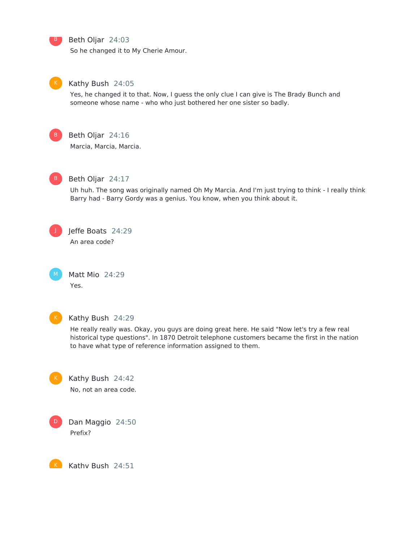$\overline{B}$ 

#### Beth Oljar 24:03

So he changed it to My Cherie Amour.



#### Kathy Bush 24:05

Yes, he changed it to that. Now, I guess the only clue I can give is The Brady Bunch and someone whose name - who who just bothered her one sister so badly.



# Beth Oljar 24:16

Marcia, Marcia, Marcia.



#### Beth Oljar 24:17

Uh huh. The song was originally named Oh My Marcia. And I'm just trying to think - I really think Barry had - Barry Gordy was a genius. You know, when you think about it.



# Jeffe Boats 24:29

An area code?

Matt Mio 24:29 Yes.



#### Kathy Bush 24:29

He really really was. Okay, you guys are doing great here. He said "Now let's try a few real historical type questions". In 1870 Detroit telephone customers became the first in the nation to have what type of reference information assigned to them.



Kathy Bush 24:42 No, not an area code.



K

Dan Maggio 24:50 Prefix?

Kathy Bush 24:51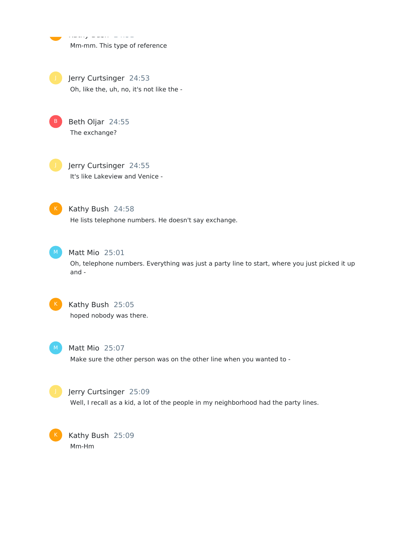Mm-mm. This type of reference

Kathy Bush 24:51

Jerry Curtsinger 24:53 Oh, like the, uh, no, it's not like the -

Beth Oljar 24:55 The exchange?

Jerry Curtsinger 24:55 It's like Lakeview and Venice -



## Kathy Bush 24:58

He lists telephone numbers. He doesn't say exchange.



## Matt Mio 25:01

Oh, telephone numbers. Everything was just a party line to start, where you just picked it up and -



# Kathy Bush 25:05 hoped nobody was there.



#### Matt Mio 25:07

Make sure the other person was on the other line when you wanted to -



### Jerry Curtsinger 25:09

Well, I recall as a kid, a lot of the people in my neighborhood had the party lines.

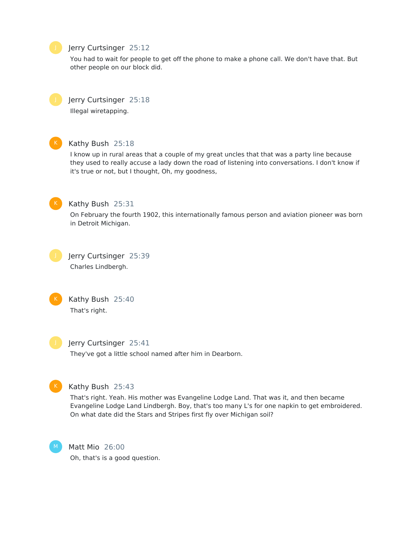#### Jerry Curtsinger 25:12

You had to wait for people to get off the phone to make a phone call. We don't have that. But other people on our block did.



Jerry Curtsinger 25:18 Illegal wiretapping.



#### Kathy Bush 25:18

I know up in rural areas that a couple of my great uncles that that was a party line because they used to really accuse a lady down the road of listening into conversations. I don't know if it's true or not, but I thought, Oh, my goodness,



### Kathy Bush 25:31

On February the fourth 1902, this internationally famous person and aviation pioneer was born in Detroit Michigan.

Jerry Curtsinger 25:39 Charles Lindbergh.



Kathy Bush 25:40 That's right.



#### Jerry Curtsinger 25:41

They've got a little school named after him in Dearborn.



#### Kathy Bush 25:43

That's right. Yeah. His mother was Evangeline Lodge Land. That was it, and then became Evangeline Lodge Land Lindbergh. Boy, that's too many L's for one napkin to get embroidered. On what date did the Stars and Stripes first fly over Michigan soil?



Matt Mio 26:00

Oh, that's is a good question.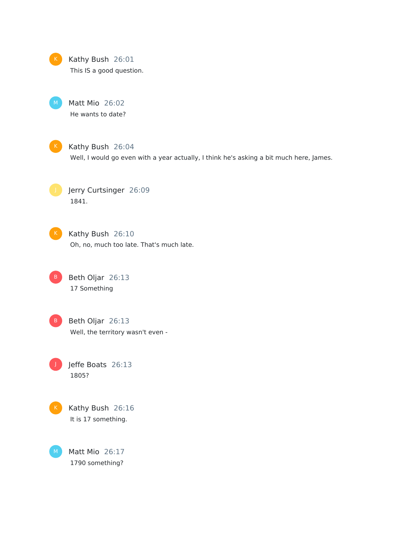

# Kathy Bush 26:01

This IS a good question.

Matt Mio 26:02 He wants to date?



#### Kathy Bush 26:04

Well, I would go even with a year actually, I think he's asking a bit much here, James.

Jerry Curtsinger 26:09 1841.

Kathy Bush 26:10 Oh, no, much too late. That's much late.

Beth Oljar 26:13 17 Something  $\vert$ B $\vert$ 

B Beth Oljar 26:13 Well, the territory wasn't even -

Jeffe Boats 26:13 1805?



J

Matt Mio 26:17 1790 something? M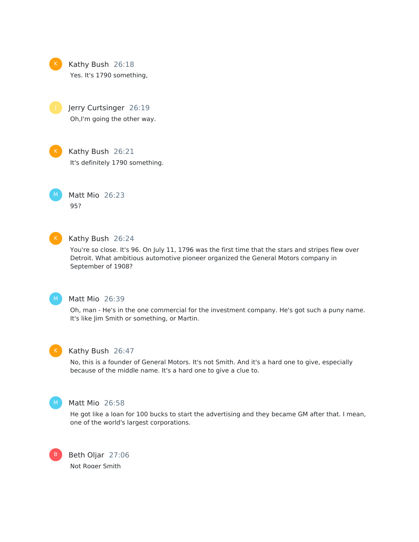K Kathy Bush 26:18 Yes. It's 1790 something,

> Jerry Curtsinger 26:19 Oh,I'm going the other way.



#### Kathy Bush 26:21

It's definitely 1790 something.





#### Kathy Bush 26:24

You're so close. It's 96. On July 11, 1796 was the first time that the stars and stripes flew over Detroit. What ambitious automotive pioneer organized the General Motors company in September of 1908?



#### Matt Mio 26:39

Oh, man - He's in the one commercial for the investment company. He's got such a puny name. It's like Jim Smith or something, or Martin.



#### K Kathy Bush 26:47

No, this is a founder of General Motors. It's not Smith. And it's a hard one to give, especially because of the middle name. It's a hard one to give a clue to.



### Matt Mio 26:58

He got like a loan for 100 bucks to start the advertising and they became GM after that. I mean, one of the world's largest corporations.

Beth Oljar 27:06 Not Roger Smith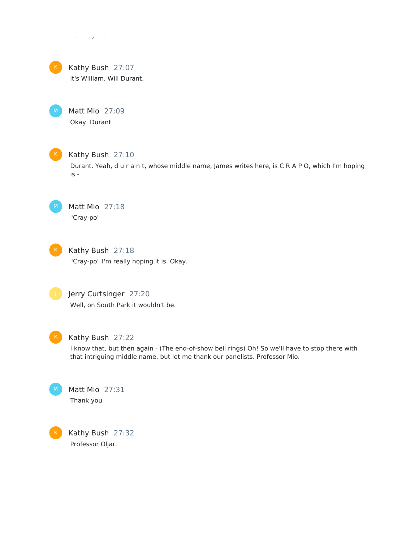

Kathy Bush 27:07 it's William. Will Durant.

Matt Mio 27:09 Okay. Durant.

Not Roger Smith



Kathy Bush 27:10

Durant. Yeah, d u r a n t, whose middle name, James writes here, is C R A P O, which I'm hoping is -

Matt Mio 27:18 "Cray-po"



K Kathy Bush 27:18 "Cray-po" I'm really hoping it is. Okay.



Jerry Curtsinger 27:20 Well, on South Park it wouldn't be.



#### Kathy Bush 27:22

I know that, but then again - (The end-of-show bell rings) Oh! So we'll have to stop there with that intriguing middle name, but let me thank our panelists. Professor Mio.



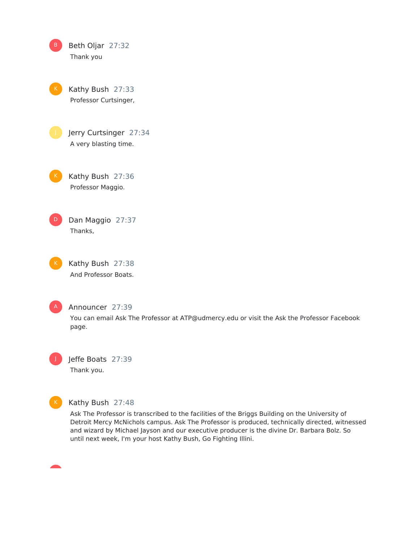| B | Beth Oljar 27:32 |  |
|---|------------------|--|
|   | Thank you        |  |





Kathy Bush 27:36 Professor Maggio.



Dan Maggio 27:37 Thanks,

Kathy Bush 27:38 And Professor Boats.



#### Announcer 27:39

You can email Ask The Professor at ATP@udmercy.edu or visit the Ask the Professor Facebook page.

Jeffe Boats 27:39 Thank you.



J

#### Kathy Bush 27:48

Ask The Professor is transcribed to the facilities of the Briggs Building on the University of Detroit Mercy McNichols campus. Ask The Professor is produced, technically directed, witnessed and wizard by Michael Jayson and our executive producer is the divine Dr. Barbara Bolz. So until next week, I'm your host Kathy Bush, Go Fighting Illini.